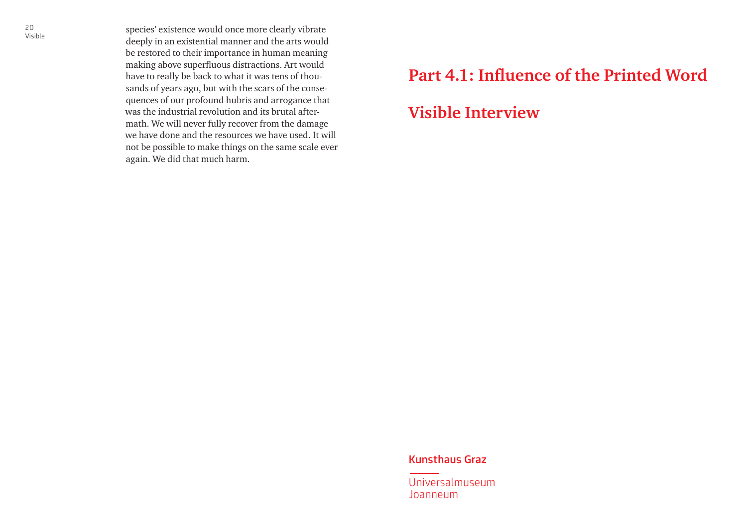species' existence would once more clearly vibrate deeply in an existential manner and the arts would be restored to their importance in human meaning making above superfluous distractions. Art would have to really be back to what it was tens of thousands of years ago, but with the scars of the consequences of our profound hubris and arrogance that was the industrial revolution and its brutal aftermath. We will never fully recover from the damage we have done and the resources we have used. It will not be possible to make things on the same scale ever again. We did that much harm.

### **Part 4.1: Influence of the Printed Word**

### **Visible Interview**

#### Kunsthaus Graz

Universalmuseum Joanneum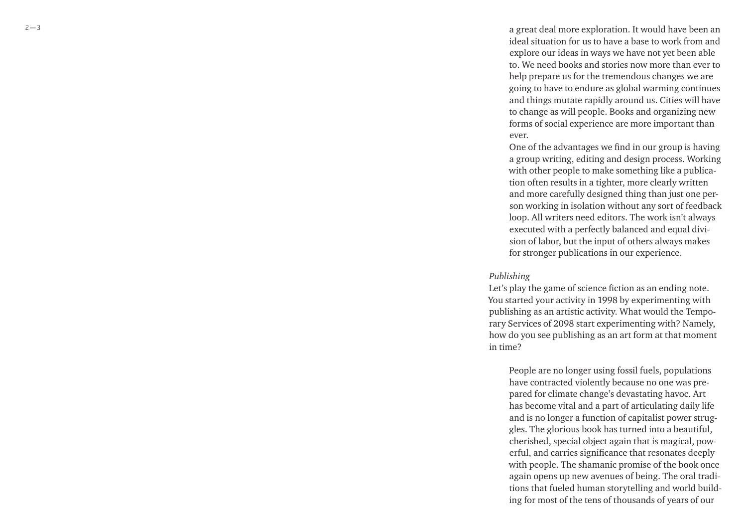a great deal more exploration. It would have been an ideal situation for us to have a base to work from and explore our ideas in ways we have not yet been able to. We need books and stories now more than ever to help prepare us for the tremendous changes we are going to have to endure as global warming continues and things mutate rapidly around us. Cities will have to change as will people. Books and organizing new forms of social experience are more important than ever.

One of the advantages we find in our group is having a group writing, editing and design process. Working with other people to make something like a publication often results in a tighter, more clearly written and more carefully designed thing than just one person working in isolation without any sort of feedback loop. All writers need editors. The work isn't always executed with a perfectly balanced and equal division of labor, but the input of others always makes for stronger publications in our experience.

#### *Publishing*

Let's play the game of science fiction as an ending note. You started your activity in 1998 by experimenting with publishing as an artistic activity. What would the Temporary Services of 2098 start experimenting with? Namely, how do you see publishing as an art form at that moment in time?

People are no longer using fossil fuels, populations have contracted violently because no one was prepared for climate change's devastating havoc. Art has become vital and a part of articulating daily life and is no longer a function of capitalist power struggles. The glorious book has turned into a beautiful, cherished, special object again that is magical, powerful, and carries significance that resonates deeply with people. The shamanic promise of the book once again opens up new avenues of being. The oral traditions that fueled human storytelling and world building for most of the tens of thousands of years of our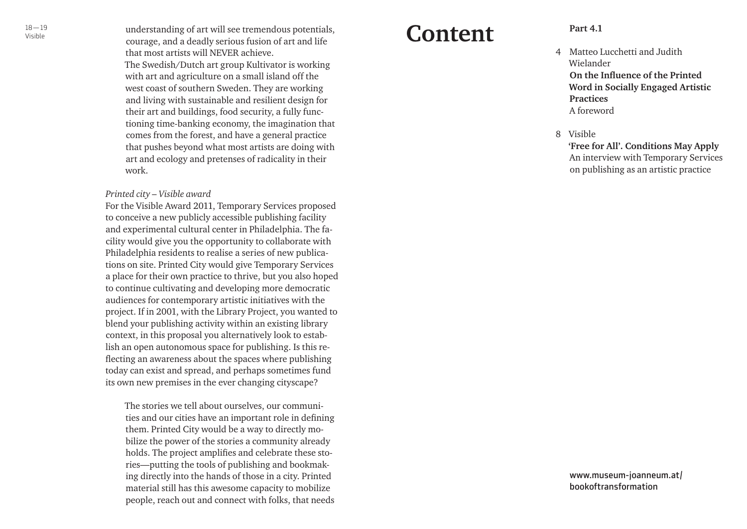$^{18-19}$  understanding of art will see tremendous potentials, **Confonf**  $\blacksquare$ courage, and a deadly serious fusion of art and life that most artists will NEVER achieve. The Swedish/Dutch art group Kultivator is working with art and agriculture on a small island off the west coast of southern Sweden. They are working and living with sustainable and resilient design for their art and buildings, food security, a fully functioning time-banking economy, the imagination that comes from the forest, and have a general practice that pushes beyond what most artists are doing with art and ecology and pretenses of radicality in their work.

#### *Printed city – Visible award*

For the Visible Award 2011, Temporary Services proposed to conceive a new publicly accessible publishing facility and experimental cultural center in Philadelphia. The facility would give you the opportunity to collaborate with Philadelphia residents to realise a series of new publications on site. Printed City would give Temporary Services a place for their own practice to thrive, but you also hoped to continue cultivating and developing more democratic audiences for contemporary artistic initiatives with the project. If in 2001, with the Library Project, you wanted to blend your publishing activity within an existing library context, in this proposal you alternatively look to establish an open autonomous space for publishing. Is this reflecting an awareness about the spaces where publishing today can exist and spread, and perhaps sometimes fund its own new premises in the ever changing cityscape?

The stories we tell about ourselves, our communities and our cities have an important role in defining them. Printed City would be a way to directly mobilize the power of the stories a community already holds. The project amplifies and celebrate these stories—putting the tools of publishing and bookmaking directly into the hands of those in a city. Printed material still has this awesome capacity to mobilize people, reach out and connect with folks, that needs

## **Content**

- Matteo Lucchetti and Judith Wielander **On the Influence of the Printed Word in Socially Engaged Artistic Practices** A foreword 4<br>8
- Visible

**'Free for All'. Conditions May Apply** An interview with Temporary Services on publishing as an artistic practice

www.museum-joanneum.at/ bookoftransformation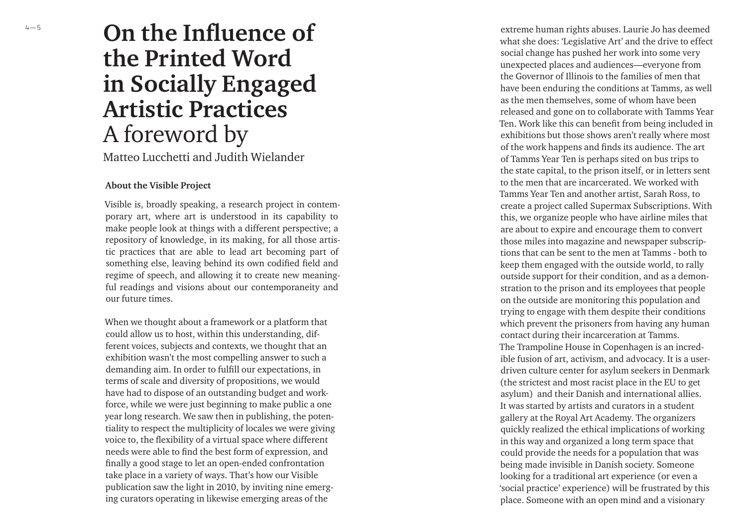# **On the Influence of the Printed Word in Socially Engaged Artistic Practices** A foreword by

Matteo Lucchetti and Judith Wielander

#### **About the Visible Project**

Visible is, broadly speaking, a research project in contem porary art, where art is understood in its capability to make people look at things with a different perspective; a repository of knowledge, in its making, for all those artis tic practices that are able to lead art becoming part of something else, leaving behind its own codified field and regime of speech, and allowing it to create new meaning ful readings and visions about our contemporaneity and our future times.

When we thought about a framework or a platform that could allow us to host, within this understanding, different voices, subjects and contexts, we thought that an exhibition wasn't the most compelling answer to such a demanding aim. In order to fulfill our expectations, in terms of scale and diversity of propositions, we would have had to dispose of an outstanding budget and workforce, while we were just beginning to make public a one year long research. We saw then in publishing, the potentiality to respect the multiplicity of locales we were giving voice to, the flexibility of a virtual space where different needs were able to find the best form of expression, and finally a good stage to let an open-ended confrontation take place in a variety of ways. That's how our Visible publication saw the light in 2010, by inviting nine emerging curators operating in likewise emerging areas of the

extreme human rights abuses. Laurie Jo has deemed what she does: 'Legislative Art' and the drive to effect social change has pushed her work into some very unexpected places and audiences—everyone from the Governor of Illinois to the families of men that have been enduring the conditions at Tamms, as well as the men themselves, some of whom have been released and gone on to collaborate with Tamms Year Ten. Work like this can benefit from being included in exhibitions but those shows aren't really where most of the work happens and finds its audience. The art of Tamms Year Ten is perhaps sited on bus trips to the state capital, to the prison itself, or in letters sent to the men that are incarcerated. We worked with Tamms Year Ten and another artist, Sarah Ross, to create a project called Supermax Subscriptions. With this, we organize people who have airline miles that are about to expire and encourage them to convert those miles into magazine and newspaper subscriptions that can be sent to the men at Tamms - both to keep them engaged with the outside world, to rally outside support for their condition, and as a demonstration to the prison and its employees that people on the outside are monitoring this population and trying to engage with them despite their conditions which prevent the prisoners from having any human contact during their incarceration at Tamms. The Trampoline House in Copenhagen is an incredible fusion of art, activism, and advocacy. It is a userdriven culture center for asylum seekers in Denmark (the strictest and most racist place in the EU to get asylum) and their Danish and international allies. It was started by artists and curators in a student gallery at the Royal Art Academy. The organizers quickly realized the ethical implications of working in this way and organized a long term space that could provide the needs for a population that was being made invisible in Danish society. Someone looking for a traditional art experience (or even a 'social practice' experience) will be frustrated by this place. Someone with an open mind and a visionary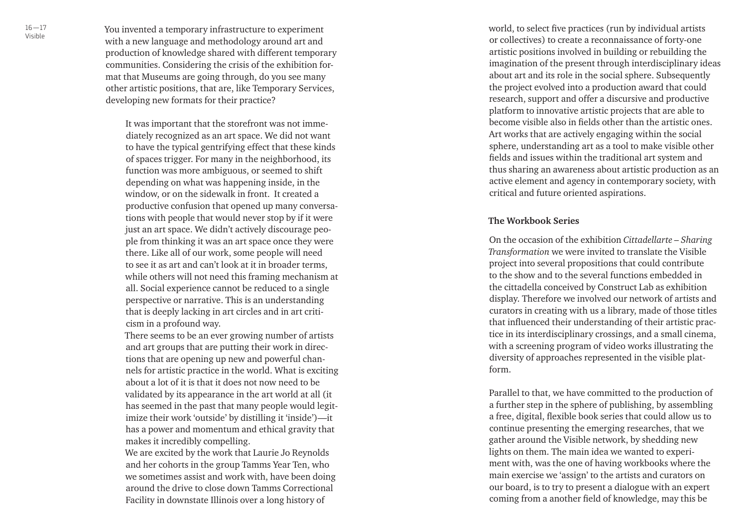You invented a temporary infrastructure to experiment with a new language and methodology around art and production of knowledge shared with different temporary communities. Considering the crisis of the exhibition format that Museums are going through, do you see many other artistic positions, that are, like Temporary Services, developing new formats for their practice?

It was important that the storefront was not immediately recognized as an art space. We did not want to have the typical gentrifying effect that these kinds of spaces trigger. For many in the neighborhood, its function was more ambiguous, or seemed to shift depending on what was happening inside, in the window, or on the sidewalk in front. It created a productive confusion that opened up many conversations with people that would never stop by if it were just an art space. We didn't actively discourage people from thinking it was an art space once they were there. Like all of our work, some people will need to see it as art and can't look at it in broader terms, while others will not need this framing mechanism at all. Social experience cannot be reduced to a single perspective or narrative. This is an understanding that is deeply lacking in art circles and in art criticism in a profound way.

There seems to be an ever growing number of artists and art groups that are putting their work in directions that are opening up new and powerful channels for artistic practice in the world. What is exciting about a lot of it is that it does not now need to be validated by its appearance in the art world at all (it has seemed in the past that many people would legitimize their work 'outside' by distilling it 'inside')—it has a power and momentum and ethical gravity that makes it incredibly compelling.

We are excited by the work that Laurie Jo Reynolds and her cohorts in the group Tamms Year Ten, who we sometimes assist and work with, have been doing around the drive to close down Tamms Correctional Facility in downstate Illinois over a long history of

world, to select five practices (run by individual artists or collectives) to create a reconnaissance of forty-one artistic positions involved in building or rebuilding the imagination of the present through interdisciplinary ideas about art and its role in the social sphere. Subsequently the project evolved into a production award that could research, support and offer a discursive and productive platform to innovative artistic projects that are able to become visible also in fields other than the artistic ones. Art works that are actively engaging within the social sphere, understanding art as a tool to make visible other fields and issues within the traditional art system and thus sharing an awareness about artistic production as an active element and agency in contemporary society, with critical and future oriented aspirations.

#### **The Workbook Series**

On the occasion of the exhibition *Cittadellarte – Sharing Transformation* we were invited to translate the Visible project into several propositions that could contribute to the show and to the several functions embedded in the cittadella conceived by Construct Lab as exhibition display. Therefore we involved our network of artists and curators in creating with us a library, made of those titles that influenced their understanding of their artistic practice in its interdisciplinary crossings, and a small cinema, with a screening program of video works illustrating the diversity of approaches represented in the visible platform.

Parallel to that, we have committed to the production of a further step in the sphere of publishing, by assembling a free, digital, flexible book series that could allow us to continue presenting the emerging researches, that we gather around the Visible network, by shedding new lights on them. The main idea we wanted to experiment with, was the one of having workbooks where the main exercise we 'assign' to the artists and curators on our board, is to try to present a dialogue with an expert coming from a another field of knowledge, may this be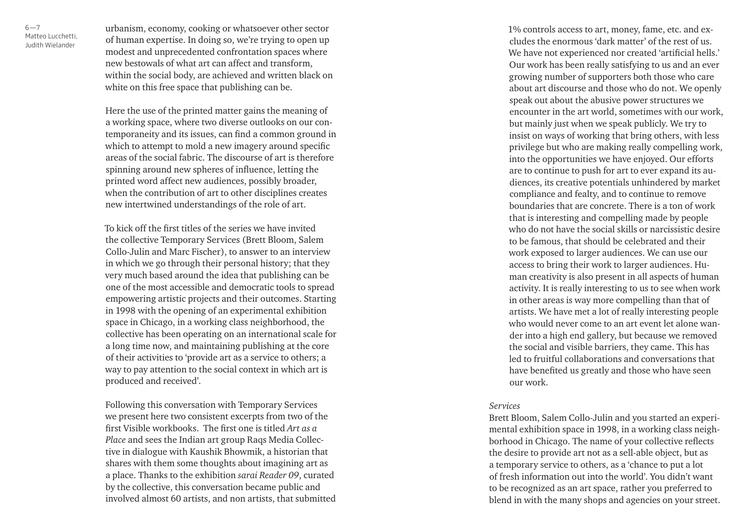$6 - 7$ Matteo Lucchetti, Judith Wielander

urbanism, economy, cooking or whatsoever other sector of human expertise. In doing so, we're trying to open up modest and unprecedented confrontation spaces where new bestowals of what art can affect and transform, within the social body, are achieved and written black on white on this free space that publishing can be.

Here the use of the printed matter gains the meaning of a working space, where two diverse outlooks on our contemporaneity and its issues, can find a common ground in which to attempt to mold a new imagery around specific areas of the social fabric. The discourse of art is therefore spinning around new spheres of influence, letting the printed word affect new audiences, possibly broader, when the contribution of art to other disciplines creates new intertwined understandings of the role of art.

To kick off the first titles of the series we have invited the collective Temporary Services (Brett Bloom, Salem Collo-Julin and Marc Fischer), to answer to an interview in which we go through their personal history; that they very much based around the idea that publishing can be one of the most accessible and democratic tools to spread empowering artistic projects and their outcomes. Starting in 1998 with the opening of an experimental exhibition space in Chicago, in a working class neighborhood, the collective has been operating on an international scale for a long time now, and maintaining publishing at the core of their activities to 'provide art as a service to others; a way to pay attention to the social context in which art is produced and received'.

Following this conversation with Temporary Services we present here two consistent excerpts from two of the first Visible workbooks. The first one is titled *Art as a Place* and sees the Indian art group Raqs Media Collective in dialogue with Kaushik Bhowmik, a historian that shares with them some thoughts about imagining art as a place. Thanks to the exhibition *sarai Reader 09*, curated by the collective, this conversation became public and involved almost 60 artists, and non artists, that submitted 1% controls access to art, money, fame, etc. and excludes the enormous 'dark matter' of the rest of us. We have not experienced nor created 'artificial hells.' Our work has been really satisfying to us and an ever growing number of supporters both those who care about art discourse and those who do not. We openly speak out about the abusive power structures we encounter in the art world, sometimes with our work, but mainly just when we speak publicly. We try to insist on ways of working that bring others, with less privilege but who are making really compelling work, into the opportunities we have enjoyed. Our efforts are to continue to push for art to ever expand its audiences, its creative potentials unhindered by market compliance and fealty, and to continue to remove boundaries that are concrete. There is a ton of work that is interesting and compelling made by people who do not have the social skills or narcissistic desire to be famous, that should be celebrated and their work exposed to larger audiences. We can use our access to bring their work to larger audiences. Human creativity is also present in all aspects of human activity. It is really interesting to us to see when work in other areas is way more compelling than that of artists. We have met a lot of really interesting people who would never come to an art event let alone wander into a high end gallery, but because we removed the social and visible barriers, they came. This has led to fruitful collaborations and conversations that have benefited us greatly and those who have seen our work.

#### *Services*

Brett Bloom, Salem Collo-Julin and you started an experimental exhibition space in 1998, in a working class neighborhood in Chicago. The name of your collective reflects the desire to provide art not as a sell-able object, but as a temporary service to others, as a 'chance to put a lot of fresh information out into the world'. You didn't want to be recognized as an art space, rather you preferred to blend in with the many shops and agencies on your street.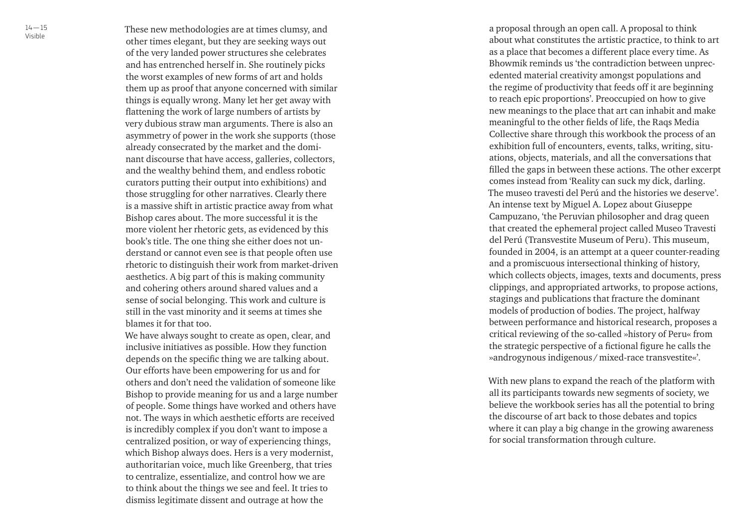These new methodologies are at times clumsy, and other times elegant, but they are seeking ways out of the very landed power structures she celebrates and has entrenched herself in. She routinely picks the worst examples of new forms of art and holds them up as proof that anyone concerned with similar things is equally wrong. Many let her get away with flattening the work of large numbers of artists by very dubious straw man arguments. There is also an asymmetry of power in the work she supports (those already consecrated by the market and the dominant discourse that have access, galleries, collectors, and the wealthy behind them, and endless robotic curators putting their output into exhibitions) and those struggling for other narratives. Clearly there is a massive shift in artistic practice away from what Bishop cares about. The more successful it is the more violent her rhetoric gets, as evidenced by this book's title. The one thing she either does not understand or cannot even see is that people often use rhetoric to distinguish their work from market-driven aesthetics. A big part of this is making community and cohering others around shared values and a sense of social belonging. This work and culture is still in the vast minority and it seems at times she blames it for that too.

We have always sought to create as open, clear, and inclusive initiatives as possible. How they function depends on the specific thing we are talking about. Our efforts have been empowering for us and for others and don't need the validation of someone like Bishop to provide meaning for us and a large number of people. Some things have worked and others have not. The ways in which aesthetic efforts are received is incredibly complex if you don't want to impose a centralized position, or way of experiencing things, which Bishop always does. Hers is a very modernist, authoritarian voice, much like Greenberg, that tries to centralize, essentialize, and control how we are to think about the things we see and feel. It tries to dismiss legitimate dissent and outrage at how the

a proposal through an open call. A proposal to think about what constitutes the artistic practice, to think to art as a place that becomes a different place every time. As Bhowmik reminds us 'the contradiction between unprecedented material creativity amongst populations and the regime of productivity that feeds off it are beginning to reach epic proportions'. Preoccupied on how to give new meanings to the place that art can inhabit and make meaningful to the other fields of life, the Raqs Media Collective share through this workbook the process of an exhibition full of encounters, events, talks, writing, situations, objects, materials, and all the conversations that filled the gaps in between these actions. The other excerpt comes instead from 'Reality can suck my dick, darling. The museo travesti del Perú and the histories we deserve'. An intense text by Miguel A. Lopez about Giuseppe Campuzano, 'the Peruvian philosopher and drag queen that created the ephemeral project called Museo Travesti del Perú (Transvestite Museum of Peru). This museum, founded in 2004, is an attempt at a queer counter-reading and a promiscuous intersectional thinking of history, which collects objects, images, texts and documents, press clippings, and appropriated artworks, to propose actions, stagings and publications that fracture the dominant models of production of bodies. The project, halfway between performance and historical research, proposes a critical reviewing of the so-called »history of Peru« from the strategic perspective of a fictional figure he calls the »androgynous indigenous / mixed-race transvestite«'.

With new plans to expand the reach of the platform with all its participants towards new segments of society, we believe the workbook series has all the potential to bring the discourse of art back to those debates and topics where it can play a big change in the growing awareness for social transformation through culture.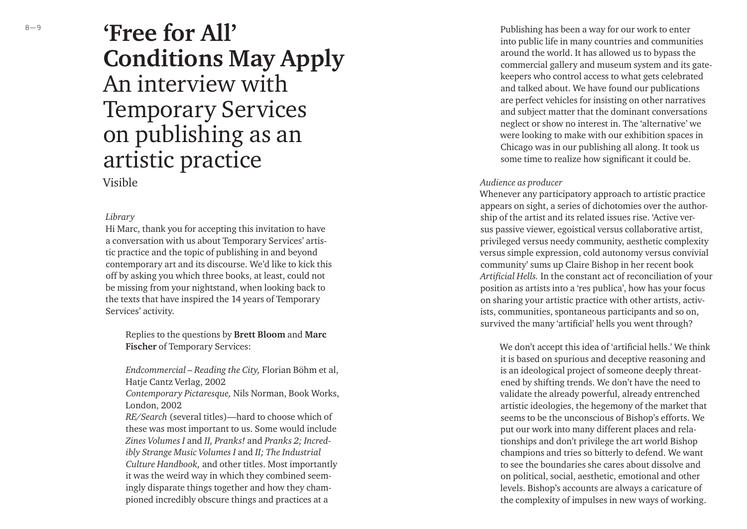# **'Free for All' Conditions May Apply** An interview with Temporary Services on publishing as an artistic practice

### Visible

#### *Library*

Hi Marc, thank you for accepting this invitation to have a conversation with us about Temporary Services' artistic practice and the topic of publishing in and beyond contemporary art and its discourse. We'd like to kick this off by asking you which three books, at least, could not be missing from your nightstand, when looking back to the texts that have inspired the 14 years of Temporary Services' activity.

Replies to the questions by **Brett Bloom** and **Marc Fischer** of Temporary Services:

*Endcommercial – Reading the City,* Florian Böhm et al, Hatje Cantz Verlag, 2002

*Contemporary Pictaresque,* Nils Norman, Book Works, London, 2002

*RE/Search* (several titles)—hard to choose which of these was most important to us. Some would include *Zines Volumes I* and *II, Pranks!* and *Pranks 2; Incredibly Strange Music Volumes I* and *II; The Industrial Culture Handbook,* and other titles. Most importantly it was the weird way in which they combined seemingly disparate things together and how they championed incredibly obscure things and practices at a

Publishing has been a way for our work to enter into public life in many countries and communities around the world. It has allowed us to bypass the commercial gallery and museum system and its gatekeepers who control access to what gets celebrated and talked about. We have found our publications are perfect vehicles for insisting on other narratives and subject matter that the dominant conversations neglect or show no interest in. The 'alternative' we were looking to make with our exhibition spaces in Chicago was in our publishing all along. It took us some time to realize how significant it could be.

#### *Audience as producer*

Whenever any participatory approach to artistic practice appears on sight, a series of dichotomies over the authorship of the artist and its related issues rise. 'Active versus passive viewer, egoistical versus collaborative artist, privileged versus needy community, aesthetic complexity versus simple expression, cold autonomy versus convivial community' sums up Claire Bishop in her recent book Artificial Hells. In the constant act of reconciliation of your position as artists into a 'res publica', how has your focus on sharing your artistic practice with other artists, activists, communities, spontaneous participants and so on, survived the many 'artificial' hells you went through?

We don't accept this idea of 'artificial hells.' We think it is based on spurious and deceptive reasoning and is an ideological project of someone deeply threatened by shifting trends. We don't have the need to validate the already powerful, already entrenched artistic ideologies, the hegemony of the market that seems to be the unconscious of Bishop's efforts. We put our work into many different places and relationships and don't privilege the art world Bishop champions and tries so bitterly to defend. We want to see the boundaries she cares about dissolve and on political, social, aesthetic, emotional and other levels. Bishop's accounts are always a caricature of the complexity of impulses in new ways of working.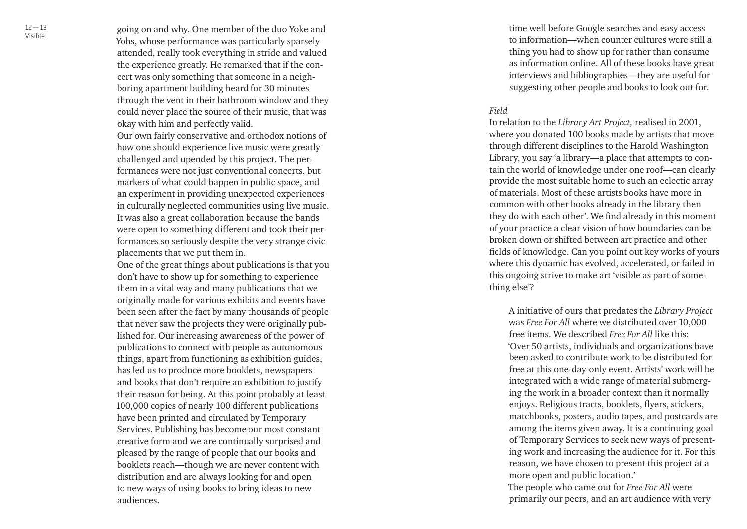going on and why. One member of the duo Yoke and Yohs, whose performance was particularly sparsely attended, really took everything in stride and valued the experience greatly. He remarked that if the concert was only something that someone in a neighboring apartment building heard for 30 minutes through the vent in their bathroom window and they could never place the source of their music, that was okay with him and perfectly valid.

Our own fairly conservative and orthodox notions of how one should experience live music were greatly challenged and upended by this project. The performances were not just conventional concerts, but markers of what could happen in public space, and an experiment in providing unexpected experiences in culturally neglected communities using live music. It was also a great collaboration because the bands were open to something different and took their performances so seriously despite the very strange civic placements that we put them in.

One of the great things about publications is that you don't have to show up for something to experience them in a vital way and many publications that we originally made for various exhibits and events have been seen after the fact by many thousands of people that never saw the projects they were originally published for. Our increasing awareness of the power of publications to connect with people as autonomous things, apart from functioning as exhibition guides, has led us to produce more booklets, newspapers and books that don't require an exhibition to justify their reason for being. At this point probably at least 100,000 copies of nearly 100 different publications have been printed and circulated by Temporary Services. Publishing has become our most constant creative form and we are continually surprised and pleased by the range of people that our books and booklets reach—though we are never content with distribution and are always looking for and open to new ways of using books to bring ideas to new audiences.

time well before Google searches and easy access to information—when counter cultures were still a thing you had to show up for rather than consume as information online. All of these books have great interviews and bibliographies—they are useful for suggesting other people and books to look out for.

#### *Field*

In relation to the *Library Art Project,* realised in 2001, where you donated 100 books made by artists that move through different disciplines to the Harold Washington Library, you say 'a library—a place that attempts to contain the world of knowledge under one roof—can clearly provide the most suitable home to such an eclectic array of materials. Most of these artists books have more in common with other books already in the library then they do with each other'. We find already in this moment of your practice a clear vision of how boundaries can be broken down or shifted between art practice and other fields of knowledge. Can you point out key works of yours where this dynamic has evolved, accelerated, or failed in this ongoing strive to make art 'visible as part of something else'?

A initiative of ours that predates the *Library Project*  was *Free For All* where we distributed over 10,000 free items. We described *Free For All* like this: 'Over 50 artists, individuals and organizations have been asked to contribute work to be distributed for free at this one-day-only event. Artists' work will be integrated with a wide range of material submerging the work in a broader context than it normally enjoys. Religious tracts, booklets, flyers, stickers, matchbooks, posters, audio tapes, and postcards are among the items given away. It is a continuing goal of Temporary Services to seek new ways of presenting work and increasing the audience for it. For this reason, we have chosen to present this project at a more open and public location.'

The people who came out for *Free For All* were primarily our peers, and an art audience with very